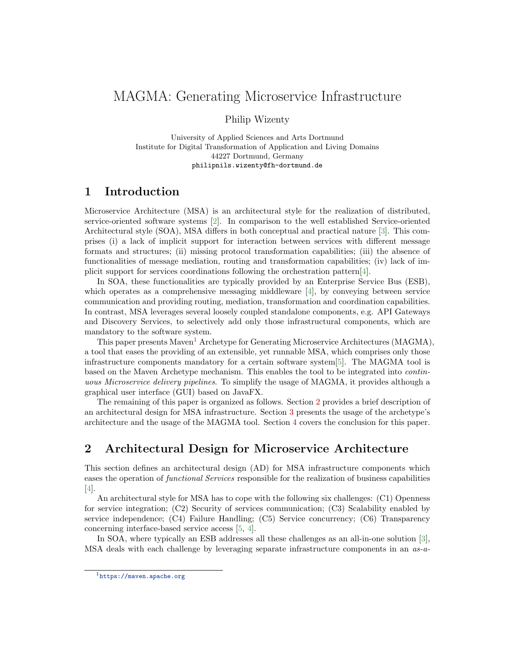# MAGMA: Generating Microservice Infrastructure

Philip Wizenty

University of Applied Sciences and Arts Dortmund Institute for Digital Transformation of Application and Living Domains 44227 Dortmund, Germany philipnils.wizenty@fh-dortmund.de

### 1 Introduction

Microservice Architecture (MSA) is an architectural style for the realization of distributed, service-oriented software systems [\[2\]](#page-3-0). In comparison to the well established Service-oriented Architectural style (SOA), MSA differs in both conceptual and practical nature [\[3\]](#page-3-1). This comprises (i) a lack of implicit support for interaction between services with different message formats and structures; (ii) missing protocol transformation capabilities; (iii) the absence of functionalities of message mediation, routing and transformation capabilities; (iv) lack of implicit support for services coordinations following the orchestration pattern[\[4\]](#page-3-2).

In SOA, these functionalities are typically provided by an Enterprise Service Bus (ESB), which operates as a comprehensive messaging middleware  $[4]$ , by conveying between service communication and providing routing, mediation, transformation and coordination capabilities. In contrast, MSA leverages several loosely coupled standalone components, e.g. API Gateways and Discovery Services, to selectively add only those infrastructural components, which are mandatory to the software system.

This paper presents Maven<sup>[1](#page-0-0)</sup> Archetype for Generating Microservice Architectures (MAGMA), a tool that eases the providing of an extensible, yet runnable MSA, which comprises only those infrastructure components mandatory for a certain software system[\[5\]](#page-3-3). The MAGMA tool is based on the Maven Archetype mechanism. This enables the tool to be integrated into continuous Microservice delivery pipelines. To simplify the usage of MAGMA, it provides although a graphical user interface (GUI) based on JavaFX.

The remaining of this paper is organized as follows. Section [2](#page-0-1) provides a brief description of an architectural design for MSA infrastructure. Section [3](#page-1-0) presents the usage of the archetype's architecture and the usage of the MAGMA tool. Section [4](#page-3-4) covers the conclusion for this paper.

## <span id="page-0-1"></span>2 Architectural Design for Microservice Architecture

This section defines an architectural design (AD) for MSA infrastructure components which eases the operation of functional Services responsible for the realization of business capabilities [\[4\]](#page-3-2).

An architectural style for MSA has to cope with the following six challenges: (C1) Openness for service integration; (C2) Security of services communication; (C3) Scalability enabled by service independence; (C4) Failure Handling; (C5) Service concurrency; (C6) Transparency concerning interface-based service access [\[5,](#page-3-3) [4\]](#page-3-2).

In SOA, where typically an ESB addresses all these challenges as an all-in-one solution [\[3\]](#page-3-1), MSA deals with each challenge by leveraging separate infrastructure components in an  $as-a$ -

<span id="page-0-0"></span><sup>1</sup><https://maven.apache.org>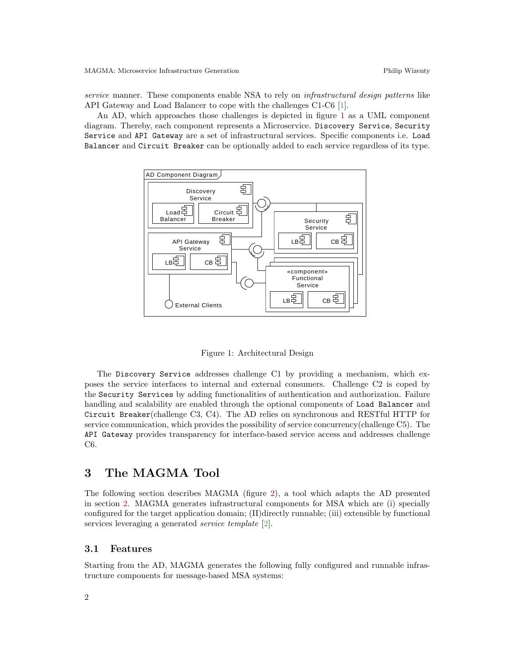service manner. These components enable NSA to rely on *infrastructural design patterns* like API Gateway and Load Balancer to cope with the challenges C1-C6 [\[1\]](#page-3-5).

An AD, which approaches those challenges is depicted in figure [1](#page-1-1) as a UML component diagram. Thereby, each component represents a Microservice. Discovery Service, Security Service and API Gateway are a set of infrastructural services. Specific components i.e. Load Balancer and Circuit Breaker can be optionally added to each service regardless of its type.



<span id="page-1-1"></span>Figure 1: Architectural Design

The Discovery Service addresses challenge C1 by providing a mechanism, which exposes the service interfaces to internal and external consumers. Challenge C2 is coped by the Security Services by adding functionalities of authentication and authorization. Failure handling and scalability are enabled through the optional components of Load Balancer and Circuit Breaker(challenge C3, C4). The AD relies on synchronous and RESTful HTTP for service communication, which provides the possibility of service concurrency(challenge C5). The API Gateway provides transparency for interface-based service access and addresses challenge C6.

### <span id="page-1-0"></span>3 The MAGMA Tool

The following section describes MAGMA (figure [2\)](#page-2-0), a tool which adapts the AD presented in section [2.](#page-0-1) MAGMA generates infrastructural components for MSA which are (i) specially configured for the target application domain; (II)directly runnable; (iii) extensible by functional services leveraging a generated *service template* [\[2\]](#page-3-0).

### 3.1 Features

Starting from the AD, MAGMA generates the following fully configured and runnable infrastructure components for message-based MSA systems: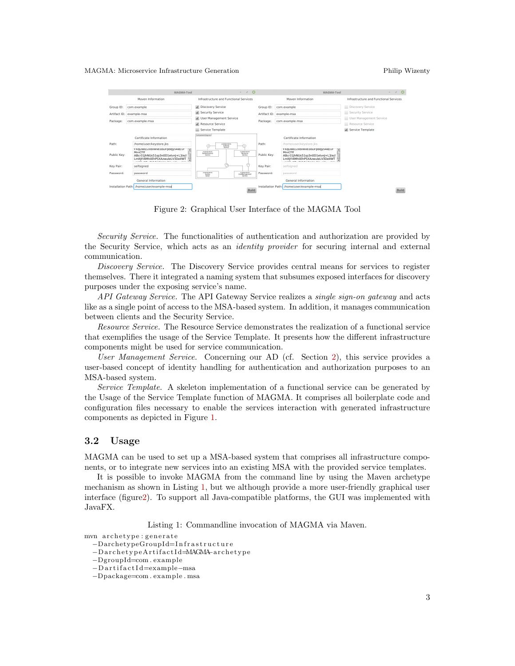#### MAGMA: Microservice Infrastructure Generation Philip Wizenty



<span id="page-2-0"></span>Figure 2: Graphical User Interface of the MAGMA Tool

Security Service. The functionalities of authentication and authorization are provided by the Security Service, which acts as an identity provider for securing internal and external communication.

Discovery Service. The Discovery Service provides central means for services to register themselves. There it integrated a naming system that subsumes exposed interfaces for discovery purposes under the exposing service's name.

API Gateway Service. The API Gateway Service realizes a *single sign-on gateway* and acts like as a single point of access to the MSA-based system. In addition, it manages communication between clients and the Security Service.

Resource Service. The Resource Service demonstrates the realization of a functional service that exemplifies the usage of the Service Template. It presents how the different infrastructure components might be used for service communication.

User Management Service. Concerning our AD (cf. Section [2\)](#page-0-1), this service provides a user-based concept of identity handling for authentication and authorization purposes to an MSA-based system.

Service Template. A skeleton implementation of a functional service can be generated by the Usage of the Service Template function of MAGMA. It comprises all boilerplate code and configuration files necessary to enable the services interaction with generated infrastructure components as depicted in Figure [1.](#page-1-1)

#### 3.2 Usage

MAGMA can be used to set up a MSA-based system that comprises all infrastructure components, or to integrate new services into an existing MSA with the provided service templates.

It is possible to invoke MAGMA from the command line by using the Maven archetype mechanism as shown in Listing [1,](#page-2-1) but we although provide a more user-friendly graphical user interface (figur[e2\)](#page-2-0). To support all Java-compatible platforms, the GUI was implemented with JavaFX.

Listing 1: Commandline invocation of MAGMA via Maven.

<span id="page-2-1"></span>mvn archetype : generate

−DarchetypeGroupId=I n f r a s t r u c t u r e

−D a r c h e t y p e A r ti f a c t I d=MAGMA−a r c h e t y p e

<sup>−</sup>DgroupId=com . example

<sup>−</sup>D a r t i f a c t I d=example−msa

<sup>−</sup>Dpackage=com . example . msa